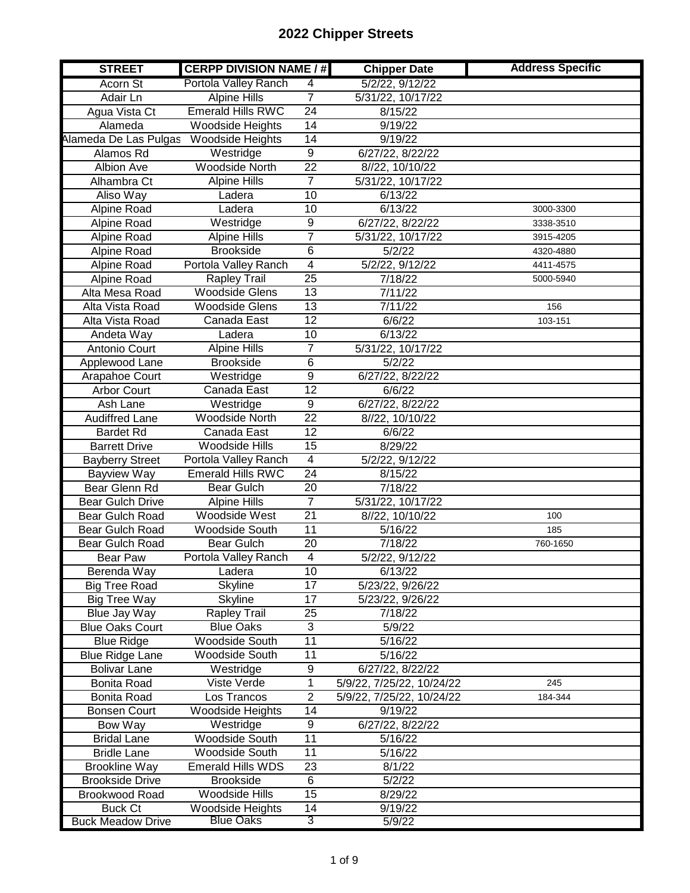| <b>STREET</b>                              | <b>CERPP DIVISION NAME / #</b>              |                 | <b>Chipper Date</b>       | <b>Address Specific</b> |
|--------------------------------------------|---------------------------------------------|-----------------|---------------------------|-------------------------|
| Acorn St                                   | Portola Valley Ranch                        | 4               | 5/2/22, 9/12/22           |                         |
| Adair Ln                                   | <b>Alpine Hills</b>                         | $\overline{7}$  | 5/31/22, 10/17/22         |                         |
| Agua Vista Ct                              | <b>Emerald Hills RWC</b>                    | 24              | 8/15/22                   |                         |
| Alameda                                    | Woodside Heights                            | 14              | 9/19/22                   |                         |
| Alameda De Las Pulgas                      | Woodside Heights                            | $\overline{14}$ | 9/19/22                   |                         |
| Alamos Rd                                  | Westridge                                   | $\overline{9}$  | 6/27/22, 8/22/22          |                         |
| <b>Albion Ave</b>                          | <b>Woodside North</b>                       | $\overline{22}$ | 8//22, 10/10/22           |                         |
| Alhambra Ct                                | <b>Alpine Hills</b>                         | 7               | 5/31/22, 10/17/22         |                         |
| Aliso Way                                  | Ladera                                      | $\overline{10}$ | 6/13/22                   |                         |
| Alpine Road                                | Ladera                                      | 10              | 6/13/22                   | 3000-3300               |
| Alpine Road                                | Westridge                                   | $\overline{9}$  | 6/27/22, 8/22/22          | 3338-3510               |
| Alpine Road                                | <b>Alpine Hills</b>                         | $\overline{7}$  | 5/31/22, 10/17/22         | 3915-4205               |
| Alpine Road                                | <b>Brookside</b>                            | $\overline{6}$  | 5/2/22                    | 4320-4880               |
| Alpine Road                                | Portola Valley Ranch                        | 4               | 5/2/22, 9/12/22           | 4411-4575               |
| Alpine Road                                | <b>Rapley Trail</b>                         | $\overline{25}$ | 7/18/22                   | 5000-5940               |
| Alta Mesa Road                             | <b>Woodside Glens</b>                       | 13              | 7/11/22                   |                         |
| Alta Vista Road                            | <b>Woodside Glens</b>                       | $\overline{13}$ | 7/11/22                   | 156                     |
| Alta Vista Road                            | Canada East                                 | $\overline{12}$ | 6/6/22                    | 103-151                 |
| Andeta Way                                 | Ladera                                      | 10              | 6/13/22                   |                         |
| Antonio Court                              | <b>Alpine Hills</b>                         | 7               | 5/31/22, 10/17/22         |                         |
| Applewood Lane                             | <b>Brookside</b>                            | $\overline{6}$  | 5/2/22                    |                         |
| Arapahoe Court                             | Westridge                                   | $\overline{9}$  | 6/27/22, 8/22/22          |                         |
| <b>Arbor Court</b>                         | Canada East                                 | $\overline{12}$ | 6/6/22                    |                         |
| Ash Lane                                   | Westridge                                   | 9               | 6/27/22, 8/22/22          |                         |
| <b>Audiffred Lane</b>                      | <b>Woodside North</b>                       | $\overline{22}$ | 8//22, 10/10/22           |                         |
| <b>Bardet Rd</b>                           | Canada East                                 | $\overline{12}$ | 6/6/22                    |                         |
| <b>Barrett Drive</b>                       | <b>Woodside Hills</b>                       | $\overline{15}$ | 8/29/22                   |                         |
| <b>Bayberry Street</b>                     | Portola Valley Ranch                        | 4               | 5/2/22, 9/12/22           |                         |
| <b>Bayview Way</b>                         | <b>Emerald Hills RWC</b>                    | $\overline{24}$ | 8/15/22                   |                         |
| Bear Glenn Rd                              | <b>Bear Gulch</b>                           | 20              | 7/18/22                   |                         |
| <b>Bear Gulch Drive</b>                    | <b>Alpine Hills</b>                         | $\overline{7}$  | 5/31/22, 10/17/22         |                         |
| Bear Gulch Road                            | Woodside West                               | $\overline{21}$ | 8//22, 10/10/22           | 100                     |
| <b>Bear Gulch Road</b>                     | Woodside South                              | 11              | 5/16/22                   | 185                     |
| Bear Gulch Road                            | <b>Bear Gulch</b>                           | 20              | 7/18/22                   | 760-1650                |
| <b>Bear Paw</b>                            | Portola Valley Ranch                        | $\overline{4}$  | 5/2/22, 9/12/22           |                         |
| Berenda Way                                | Ladera                                      | 10              | 6/13/22                   |                         |
| <b>Big Tree Road</b>                       | Skyline                                     | $\overline{17}$ | 5/23/22, 9/26/22          |                         |
| <b>Big Tree Way</b>                        | Skyline                                     | $\overline{17}$ | 5/23/22, 9/26/22          |                         |
| Blue Jay Way                               | Rapley Trail                                | 25              | 7/18/22                   |                         |
| <b>Blue Oaks Court</b>                     | <b>Blue Oaks</b>                            | 3               | 5/9/22                    |                         |
| <b>Blue Ridge</b>                          | Woodside South                              | 11              | 5/16/22                   |                         |
| <b>Blue Ridge Lane</b>                     | Woodside South                              | 11              | 5/16/22                   |                         |
| <b>Bolivar Lane</b>                        | Westridge                                   | 9               | 6/27/22, 8/22/22          |                         |
| <b>Bonita Road</b>                         | Viste Verde                                 | 1               | 5/9/22, 7/25/22, 10/24/22 | 245                     |
| <b>Bonita Road</b>                         | Los Trancos                                 | $\overline{2}$  | 5/9/22, 7/25/22, 10/24/22 | 184-344                 |
| <b>Bonsen Court</b>                        | Woodside Heights                            | 14              | 9/19/22                   |                         |
| Bow Way                                    | Westridge                                   | 9               | 6/27/22, 8/22/22          |                         |
| <b>Bridal Lane</b>                         | Woodside South                              | 11              | 5/16/22                   |                         |
| <b>Bridle Lane</b>                         | Woodside South                              | 11              | 5/16/22                   |                         |
| <b>Brookline Way</b>                       | <b>Emerald Hills WDS</b>                    | 23              | 8/1/22                    |                         |
| <b>Brookside Drive</b>                     | <b>Brookside</b>                            | 6               | 5/2/22                    |                         |
| Brookwood Road                             | <b>Woodside Hills</b>                       | $\overline{15}$ | 8/29/22                   |                         |
| <b>Buck Ct</b><br><b>Buck Meadow Drive</b> | <b>Woodside Heights</b><br><b>Blue Oaks</b> | 14<br>3         | 9/19/22                   |                         |
|                                            |                                             |                 | 5/9/22                    |                         |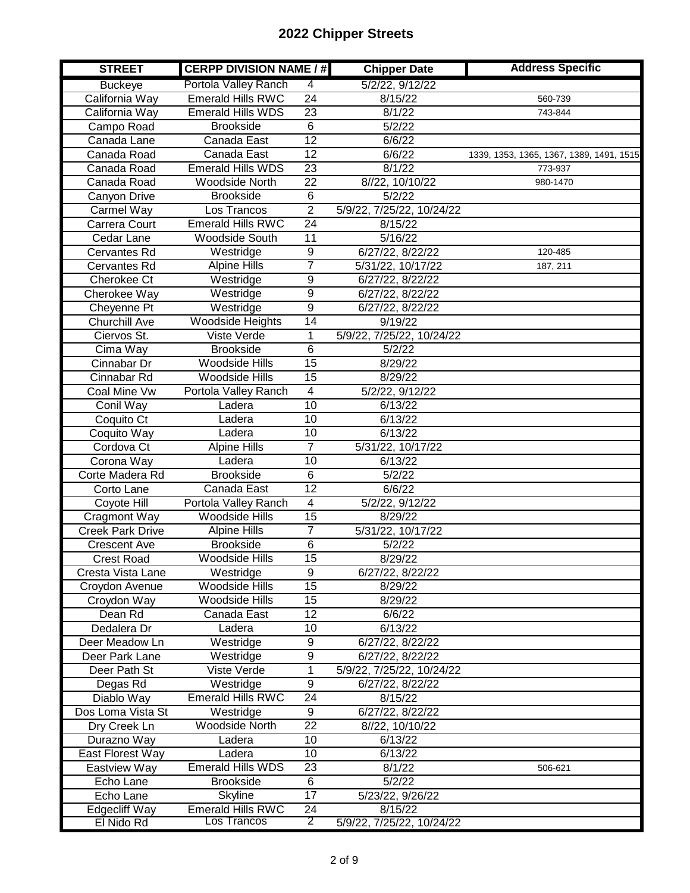| <b>STREET</b>           | <b>CERPP DIVISION NAME / #</b> |                         | <b>Chipper Date</b>       | <b>Address Specific</b>                  |
|-------------------------|--------------------------------|-------------------------|---------------------------|------------------------------------------|
| <b>Buckeye</b>          | Portola Valley Ranch           | 4                       | 5/2/22, 9/12/22           |                                          |
| California Way          | <b>Emerald Hills RWC</b>       | $\overline{24}$         | 8/15/22                   | 560-739                                  |
| California Way          | <b>Emerald Hills WDS</b>       | $\overline{23}$         | 8/1/22                    | 743-844                                  |
| Campo Road              | <b>Brookside</b>               | $\overline{6}$          | 5/2/22                    |                                          |
| Canada Lane             | Canada East                    | 12                      | 6/6/22                    |                                          |
| Canada Road             | Canada East                    | 12                      | 6/6/22                    | 1339, 1353, 1365, 1367, 1389, 1491, 1515 |
| Canada Road             | <b>Emerald Hills WDS</b>       | $\overline{23}$         | 8/1/22                    | 773-937                                  |
| Canada Road             | <b>Woodside North</b>          | $\overline{22}$         | 8//22, 10/10/22           | 980-1470                                 |
| Canyon Drive            | <b>Brookside</b>               | 6                       | 5/2/22                    |                                          |
| Carmel Way              | Los Trancos                    | $\overline{2}$          | 5/9/22, 7/25/22, 10/24/22 |                                          |
| Carrera Court           | <b>Emerald Hills RWC</b>       | $\overline{24}$         | 8/15/22                   |                                          |
| Cedar Lane              | Woodside South                 | 11                      | 5/16/22                   |                                          |
| Cervantes Rd            | Westridge                      | $\overline{9}$          | 6/27/22, 8/22/22          | 120-485                                  |
| Cervantes Rd            | <b>Alpine Hills</b>            | 7                       | 5/31/22, 10/17/22         | 187, 211                                 |
| <b>Cherokee Ct</b>      | Westridge                      | $\overline{9}$          | 6/27/22, 8/22/22          |                                          |
| Cherokee Way            | Westridge                      | $\overline{9}$          | 6/27/22, 8/22/22          |                                          |
| Cheyenne Pt             | Westridge                      | $\overline{9}$          | 6/27/22, 8/22/22          |                                          |
| <b>Churchill Ave</b>    | <b>Woodside Heights</b>        | 14                      | 9/19/22                   |                                          |
| Ciervos St.             | Viste Verde                    | $\overline{1}$          | 5/9/22, 7/25/22, 10/24/22 |                                          |
| Cima Way                | <b>Brookside</b>               | $\overline{6}$          | 5/2/22                    |                                          |
| Cinnabar Dr             | Woodside Hills                 | $\overline{15}$         | 8/29/22                   |                                          |
| Cinnabar Rd             | Woodside Hills                 | 15                      | 8/29/22                   |                                          |
| Coal Mine Vw            | Portola Valley Ranch           | $\overline{\mathbf{4}}$ | 5/2/22, 9/12/22           |                                          |
| Conil Way               | Ladera                         | $\overline{10}$         | 6/13/22                   |                                          |
| Coquito Ct              | Ladera                         | 10                      | 6/13/22                   |                                          |
| Coquito Way             | Ladera                         | 10                      | 6/13/22                   |                                          |
| Cordova Ct              | <b>Alpine Hills</b>            | $\overline{7}$          | 5/31/22, 10/17/22         |                                          |
| Corona Way              | Ladera                         | 10                      | 6/13/22                   |                                          |
| Corte Madera Rd         | <b>Brookside</b>               | 6                       | 5/2/22                    |                                          |
| Corto Lane              | Canada East                    | 12                      | 6/6/22                    |                                          |
| Coyote Hill             | Portola Valley Ranch           | 4                       | 5/2/22, 9/12/22           |                                          |
| Cragmont Way            | Woodside Hills                 | 15                      | 8/29/22                   |                                          |
| <b>Creek Park Drive</b> | <b>Alpine Hills</b>            | $\overline{7}$          | 5/31/22, 10/17/22         |                                          |
| <b>Crescent Ave</b>     | <b>Brookside</b>               | 6                       | 5/2/22                    |                                          |
| <b>Crest Road</b>       | Woodside Hills                 | $\overline{15}$         | 8/29/22                   |                                          |
| Cresta Vista Lane       | Westridge                      | $\overline{9}$          | 6/27/22, 8/22/22          |                                          |
| Croydon Avenue          | Woodside Hills                 | $\overline{15}$         | 8/29/22                   |                                          |
| Croydon Way             | <b>Woodside Hills</b>          | 15                      | 8/29/22                   |                                          |
| Dean Rd                 | Canada East                    | 12                      | 6/6/22                    |                                          |
| Dedalera Dr             | Ladera                         | 10                      | 6/13/22                   |                                          |
| Deer Meadow Ln          | Westridge                      | 9                       | 6/27/22, 8/22/22          |                                          |
| Deer Park Lane          | Westridge                      | 9                       | 6/27/22, 8/22/22          |                                          |
| Deer Path St            | Viste Verde                    | 1                       | 5/9/22, 7/25/22, 10/24/22 |                                          |
| Degas Rd                | Westridge                      | $\overline{9}$          | 6/27/22, 8/22/22          |                                          |
| Diablo Way              | <b>Emerald Hills RWC</b>       | 24                      | 8/15/22                   |                                          |
| Dos Loma Vista St       | Westridge                      | $\overline{9}$          | 6/27/22, 8/22/22          |                                          |
| Dry Creek Ln            | Woodside North                 | 22                      | 8//22, 10/10/22           |                                          |
| Durazno Way             | Ladera                         | 10                      | 6/13/22                   |                                          |
| East Florest Way        | Ladera                         | 10                      | 6/13/22                   |                                          |
| Eastview Way            | Emerald Hills WDS              | 23                      | 8/1/22                    | 506-621                                  |
| Echo Lane               | <b>Brookside</b>               | 6                       | 5/2/22                    |                                          |
| Echo Lane               | <b>Skyline</b>                 | 17                      | 5/23/22, 9/26/22          |                                          |
| <b>Edgecliff Way</b>    | Emerald Hills RWC              | 24                      | 8/15/22                   |                                          |
| El Nido Rd              | Los Trancos                    | 2                       | 5/9/22, 7/25/22, 10/24/22 |                                          |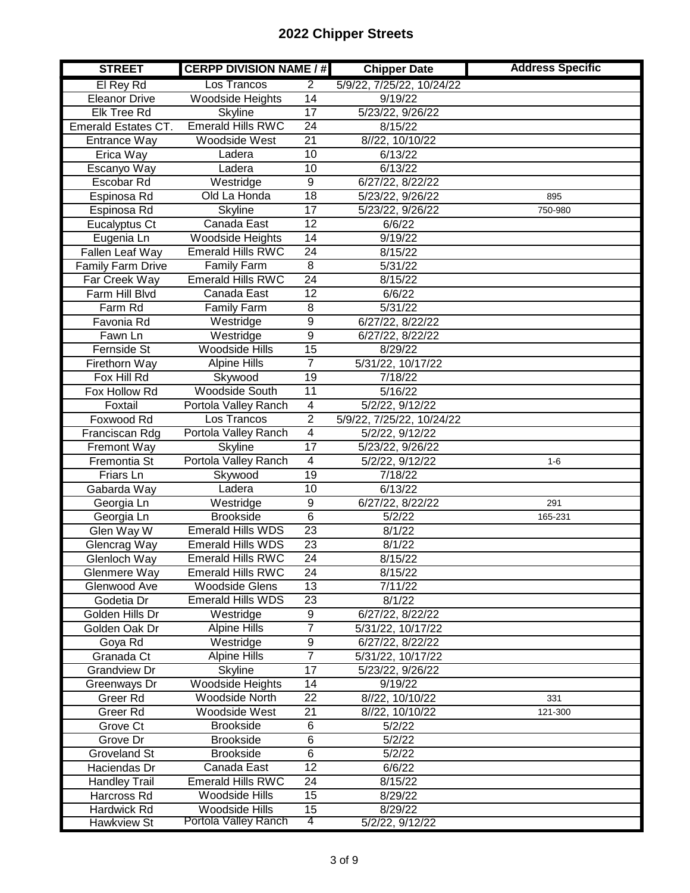| <b>STREET</b>            | <b>CERPP DIVISION NAME / #</b> |                 | <b>Chipper Date</b>       | <b>Address Specific</b> |
|--------------------------|--------------------------------|-----------------|---------------------------|-------------------------|
| El Rey Rd                | Los Trancos                    | $\overline{2}$  | 5/9/22, 7/25/22, 10/24/22 |                         |
| <b>Eleanor Drive</b>     | <b>Woodside Heights</b>        | $\overline{14}$ | 9/19/22                   |                         |
| Elk Tree Rd              | <b>Skyline</b>                 | $\overline{17}$ | 5/23/22, 9/26/22          |                         |
| Emerald Estates CT.      | <b>Emerald Hills RWC</b>       | $\overline{24}$ | 8/15/22                   |                         |
| Entrance Way             | <b>Woodside West</b>           | $\overline{21}$ | 8//22, 10/10/22           |                         |
| Erica Way                | Ladera                         | 10              | 6/13/22                   |                         |
| Escanyo Way              | Ladera                         | 10              | 6/13/22                   |                         |
| Escobar Rd               | Westridge                      | $\overline{9}$  | 6/27/22, 8/22/22          |                         |
| Espinosa Rd              | Old La Honda                   | $\overline{18}$ | 5/23/22, 9/26/22          | 895                     |
| Espinosa Rd              | <b>Skyline</b>                 | $\overline{17}$ | 5/23/22, 9/26/22          | 750-980                 |
| Eucalyptus Ct            | Canada East                    | $\overline{12}$ | 6/6/22                    |                         |
| Eugenia Ln               | <b>Woodside Heights</b>        | $\overline{14}$ | 9/19/22                   |                         |
| Fallen Leaf Way          | <b>Emerald Hills RWC</b>       | $\overline{24}$ | 8/15/22                   |                         |
| <b>Family Farm Drive</b> | <b>Family Farm</b>             | $\overline{8}$  | 5/31/22                   |                         |
| Far Creek Way            | <b>Emerald Hills RWC</b>       | $\overline{24}$ | 8/15/22                   |                         |
| Farm Hill Blvd           | Canada East                    | 12              | 6/6/22                    |                         |
| Farm Rd                  | <b>Family Farm</b>             | 8               | 5/31/22                   |                         |
| Favonia Rd               | Westridge                      | $\overline{9}$  | 6/27/22, 8/22/22          |                         |
| Fawn Ln                  | Westridge                      | $\overline{9}$  | 6/27/22, 8/22/22          |                         |
| <b>Fernside St</b>       | <b>Woodside Hills</b>          | 15              | 8/29/22                   |                         |
| Firethorn Way            | <b>Alpine Hills</b>            | $\overline{7}$  | 5/31/22, 10/17/22         |                         |
| Fox Hill Rd              | Skywood                        | 19              | 7/18/22                   |                         |
| Fox Hollow Rd            | <b>Woodside South</b>          | $\overline{11}$ | 5/16/22                   |                         |
| Foxtail                  | Portola Valley Ranch           | $\overline{4}$  | 5/2/22, 9/12/22           |                         |
| Foxwood Rd               | Los Trancos                    | $\overline{2}$  | 5/9/22, 7/25/22, 10/24/22 |                         |
| Franciscan Rdg           | Portola Valley Ranch           | $\overline{4}$  | 5/2/22, 9/12/22           |                         |
| Fremont Way              | <b>Skyline</b>                 | 17              | 5/23/22, 9/26/22          |                         |
| Fremontia St             | Portola Valley Ranch           | 4               | 5/2/22, 9/12/22           | $1-6$                   |
| Friars Ln                | Skywood                        | 19              | 7/18/22                   |                         |
| Gabarda Way              | Ladera                         | 10              | 6/13/22                   |                         |
| Georgia Ln               | Westridge                      | $\overline{9}$  | 6/27/22, 8/22/22          | 291                     |
| Georgia Ln               | <b>Brookside</b>               | 6               | 5/2/22                    | 165-231                 |
| Glen Way W               | <b>Emerald Hills WDS</b>       | $\overline{23}$ | 8/1/22                    |                         |
| Glencrag Way             | <b>Emerald Hills WDS</b>       | $\overline{23}$ | 8/1/22                    |                         |
| Glenloch Way             | <b>Emerald Hills RWC</b>       | $\overline{24}$ | 8/15/22                   |                         |
| Glenmere Way             | <b>Emerald Hills RWC</b>       | 24              | 8/15/22                   |                         |
| Glenwood Ave             | <b>Woodside Glens</b>          | $\overline{13}$ | 7/11/22                   |                         |
| Godetia Dr               | <b>Emerald Hills WDS</b>       | 23              | 8/1/22                    |                         |
| Golden Hills Dr          | Westridge                      | $\overline{9}$  | 6/27/22, 8/22/22          |                         |
| Golden Oak Dr            | <b>Alpine Hills</b>            | $\overline{7}$  | 5/31/22, 10/17/22         |                         |
| Goya Rd                  | Westridge                      | $\overline{9}$  | 6/27/22, 8/22/22          |                         |
| Granada Ct               | Alpine Hills                   | $\overline{7}$  | 5/31/22, 10/17/22         |                         |
| Grandview Dr             | <b>Skyline</b>                 | $\overline{17}$ | 5/23/22, 9/26/22          |                         |
| Greenways Dr             | <b>Woodside Heights</b>        | 14              | 9/19/22                   |                         |
| Greer Rd                 | Woodside North                 | 22              | 8//22, 10/10/22           | 331                     |
| Greer Rd                 | <b>Woodside West</b>           | 21              | 8//22, 10/10/22           | 121-300                 |
| Grove Ct                 | <b>Brookside</b>               | 6               | 5/2/22                    |                         |
| Grove Dr                 | <b>Brookside</b>               | 6               | 5/2/22                    |                         |
| Groveland St             | <b>Brookside</b>               | 6               | 5/2/22                    |                         |
| Haciendas Dr             | Canada East                    | 12              | 6/6/22                    |                         |
| <b>Handley Trail</b>     | <b>Emerald Hills RWC</b>       | 24              | 8/15/22                   |                         |
| Harcross Rd              | <b>Woodside Hills</b>          | 15              | 8/29/22                   |                         |
| Hardwick Rd              | Woodside Hills                 | 15              | 8/29/22                   |                         |
| <b>Hawkview St</b>       | Portola Valley Ranch           | 4               | 5/2/22, 9/12/22           |                         |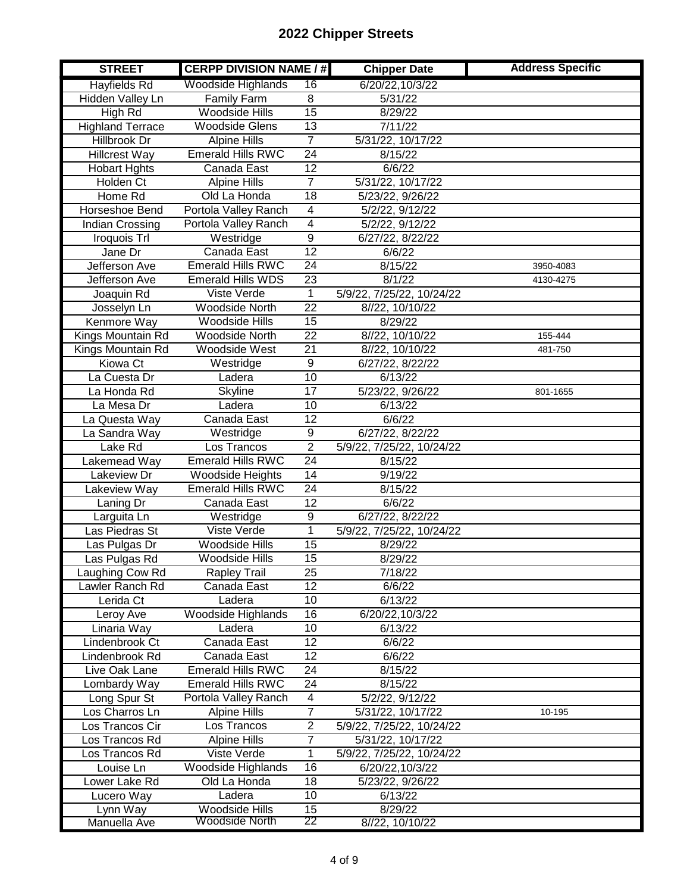| <b>STREET</b>           | <b>CERPP DIVISION NAME / #</b> |                  | <b>Chipper Date</b>       | <b>Address Specific</b> |
|-------------------------|--------------------------------|------------------|---------------------------|-------------------------|
| <b>Hayfields Rd</b>     | Woodside Highlands             | 16               | 6/20/22,10/3/22           |                         |
| Hidden Valley Ln        | <b>Family Farm</b>             | 8                | 5/31/22                   |                         |
| High Rd                 | <b>Woodside Hills</b>          | 15               | 8/29/22                   |                         |
| <b>Highland Terrace</b> | <b>Woodside Glens</b>          | $\overline{13}$  | 7/11/22                   |                         |
| Hillbrook Dr            | <b>Alpine Hills</b>            | $\overline{7}$   | 5/31/22, 10/17/22         |                         |
| <b>Hillcrest Way</b>    | <b>Emerald Hills RWC</b>       | 24               | 8/15/22                   |                         |
| <b>Hobart Hghts</b>     | Canada East                    | $\overline{12}$  | 6/6/22                    |                         |
| Holden Ct               | <b>Alpine Hills</b>            | $\overline{7}$   | 5/31/22, 10/17/22         |                         |
| Home Rd                 | Old La Honda                   | 18               | 5/23/22, 9/26/22          |                         |
| Horseshoe Bend          | Portola Valley Ranch           | 4                | 5/2/22, 9/12/22           |                         |
| Indian Crossing         | Portola Valley Ranch           | $\overline{4}$   | 5/2/22, 9/12/22           |                         |
| Iroquois Trl            | Westridge                      | $\overline{9}$   | 6/27/22, 8/22/22          |                         |
| Jane Dr                 | Canada East                    | $\overline{12}$  | 6/6/22                    |                         |
| Jefferson Ave           | <b>Emerald Hills RWC</b>       | 24               | 8/15/22                   | 3950-4083               |
| Jefferson Ave           | <b>Emerald Hills WDS</b>       | $\overline{23}$  | 8/1/22                    | 4130-4275               |
| Joaquin Rd              | Viste Verde                    | $\mathbf{1}$     | 5/9/22, 7/25/22, 10/24/22 |                         |
| Josselyn Ln             | <b>Woodside North</b>          | $\overline{22}$  | 8//22, 10/10/22           |                         |
| <b>Kenmore Way</b>      | <b>Woodside Hills</b>          | 15               | 8/29/22                   |                         |
| Kings Mountain Rd       | <b>Woodside North</b>          | $\overline{22}$  | 8//22, 10/10/22           | 155-444                 |
| Kings Mountain Rd       | Woodside West                  | 21               | 8//22, 10/10/22           | 481-750                 |
| <b>Kiowa Ct</b>         | Westridge                      | $\boldsymbol{9}$ | 6/27/22, 8/22/22          |                         |
| La Cuesta Dr            | Ladera                         | $\overline{10}$  | 6/13/22                   |                         |
| La Honda Rd             | Skyline                        | 17               | 5/23/22, 9/26/22          | 801-1655                |
| La Mesa Dr              | Ladera                         | 10               | 6/13/22                   |                         |
| La Questa Way           | Canada East                    | $\overline{12}$  | 6/6/22                    |                         |
| La Sandra Way           | Westridge                      | 9                | 6/27/22, 8/22/22          |                         |
| Lake Rd                 | Los Trancos                    | $\overline{2}$   | 5/9/22, 7/25/22, 10/24/22 |                         |
| Lakemead Way            | <b>Emerald Hills RWC</b>       | $\overline{24}$  | 8/15/22                   |                         |
| Lakeview Dr             | Woodside Heights               | 14               | 9/19/22                   |                         |
| Lakeview Way            | <b>Emerald Hills RWC</b>       | $\overline{24}$  | 8/15/22                   |                         |
| Laning Dr               | Canada East                    | 12               | 6/6/22                    |                         |
| Larguita Ln             | Westridge                      | $\overline{9}$   | 6/27/22, 8/22/22          |                         |
| Las Piedras St          | Viste Verde                    | 1                | 5/9/22, 7/25/22, 10/24/22 |                         |
| Las Pulgas Dr           | <b>Woodside Hills</b>          | $\overline{15}$  | 8/29/22                   |                         |
| Las Pulgas Rd           | <b>Woodside Hills</b>          | $\overline{15}$  | 8/29/22                   |                         |
| Laughing Cow Rd         | <b>Rapley Trail</b>            | 25               | 7/18/22                   |                         |
| Lawler Ranch Rd         | Canada East                    | $\overline{12}$  | 6/6/22                    |                         |
| Lerida Ct               | Ladera                         | 10               | 6/13/22                   |                         |
| Leroy Ave               | Woodside Highlands             | 16               | 6/20/22,10/3/22           |                         |
| Linaria Way             | Ladera                         | 10               | 6/13/22                   |                         |
| Lindenbrook Ct          | Canada East                    | 12               | 6/6/22                    |                         |
| Lindenbrook Rd          | Canada East                    | 12               | 6/6/22                    |                         |
| Live Oak Lane           | <b>Emerald Hills RWC</b>       | 24               | 8/15/22                   |                         |
| Lombardy Way            | <b>Emerald Hills RWC</b>       | 24               | 8/15/22                   |                         |
| Long Spur St            | Portola Valley Ranch           | 4                | 5/2/22, 9/12/22           |                         |
| Los Charros Ln          | <b>Alpine Hills</b>            | $\overline{7}$   | 5/31/22, 10/17/22         | 10-195                  |
| Los Trancos Cir         | Los Trancos                    | $\mathbf{2}$     | 5/9/22, 7/25/22, 10/24/22 |                         |
| Los Trancos Rd          | <b>Alpine Hills</b>            | $\overline{7}$   | 5/31/22, 10/17/22         |                         |
| Los Trancos Rd          | Viste Verde                    | 1                | 5/9/22, 7/25/22, 10/24/22 |                         |
| Louise Ln               | Woodside Highlands             | 16               | 6/20/22,10/3/22           |                         |
| Lower Lake Rd           | Old La Honda                   | 18               | 5/23/22, 9/26/22          |                         |
| Lucero Way              | Ladera                         | 10               | 6/13/22                   |                         |
| Lynn Way                | Woodside Hills                 | 15               | 8/29/22                   |                         |
| Manuella Ave            | Woodside North                 | 22               | 8//22, 10/10/22           |                         |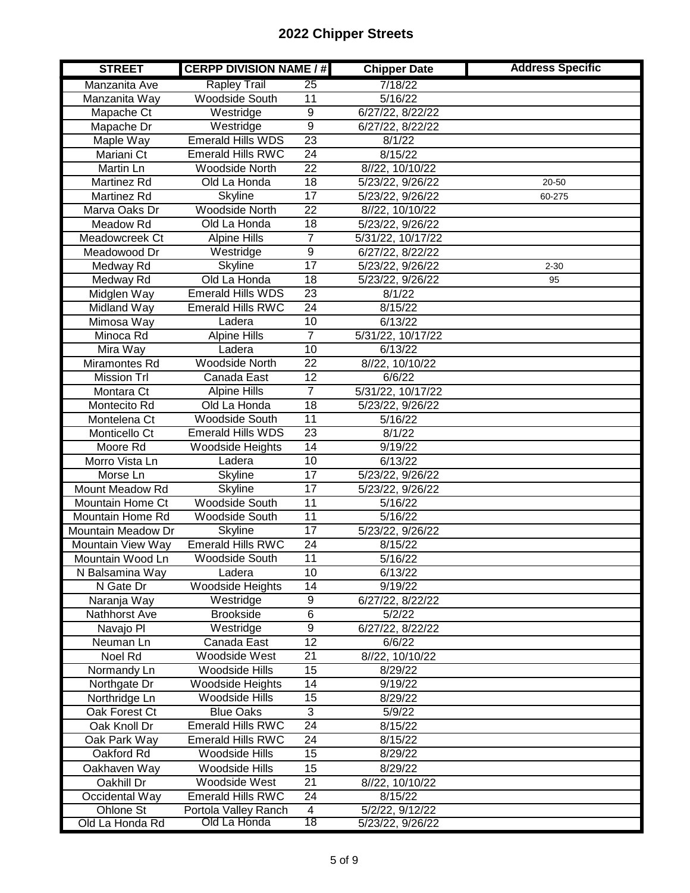| <b>STREET</b>      | <b>CERPP DIVISION NAME / #</b> |                 | <b>Chipper Date</b> | <b>Address Specific</b> |
|--------------------|--------------------------------|-----------------|---------------------|-------------------------|
| Manzanita Ave      | <b>Rapley Trail</b>            | 25              | 7/18/22             |                         |
| Manzanita Way      | <b>Woodside South</b>          | 11              | 5/16/22             |                         |
| Mapache Ct         | Westridge                      | 9               | 6/27/22, 8/22/22    |                         |
| Mapache Dr         | Westridge                      | $\overline{9}$  | 6/27/22, 8/22/22    |                         |
| Maple Way          | <b>Emerald Hills WDS</b>       | 23              | 8/1/22              |                         |
| Mariani Ct         | <b>Emerald Hills RWC</b>       | $\overline{24}$ | 8/15/22             |                         |
| Martin Ln          | <b>Woodside North</b>          | $\overline{22}$ | 8//22, 10/10/22     |                         |
| Martinez Rd        | Old La Honda                   | 18              | 5/23/22, 9/26/22    | 20-50                   |
| Martinez Rd        | <b>Skyline</b>                 | $\overline{17}$ | 5/23/22, 9/26/22    | 60-275                  |
| Marva Oaks Dr      | <b>Woodside North</b>          | 22              | 8//22, 10/10/22     |                         |
| Meadow Rd          | Old La Honda                   | $\overline{18}$ | 5/23/22, 9/26/22    |                         |
| Meadowcreek Ct     | <b>Alpine Hills</b>            | $\overline{7}$  | 5/31/22, 10/17/22   |                         |
| Meadowood Dr       | Westridge                      | $\overline{9}$  | 6/27/22, 8/22/22    |                         |
| Medway Rd          | <b>Skyline</b>                 | $\overline{17}$ | 5/23/22, 9/26/22    | $2 - 30$                |
| Medway Rd          | Old La Honda                   | $\overline{18}$ | 5/23/22, 9/26/22    | 95                      |
| Midglen Way        | <b>Emerald Hills WDS</b>       | $\overline{23}$ | 8/1/22              |                         |
| <b>Midland Way</b> | <b>Emerald Hills RWC</b>       | $\overline{24}$ | 8/15/22             |                         |
| Mimosa Way         | Ladera                         | 10              | 6/13/22             |                         |
| Minoca Rd          | <b>Alpine Hills</b>            | $\overline{7}$  | 5/31/22, 10/17/22   |                         |
| Mira Way           | Ladera                         | 10              | 6/13/22             |                         |
| Miramontes Rd      | Woodside North                 | 22              | 8//22, 10/10/22     |                         |
| <b>Mission Trl</b> | Canada East                    | 12              | 6/6/22              |                         |
| Montara Ct         | <b>Alpine Hills</b>            | $\overline{7}$  | 5/31/22, 10/17/22   |                         |
| Montecito Rd       | Old La Honda                   | $\overline{18}$ | 5/23/22, 9/26/22    |                         |
| Montelena Ct       | Woodside South                 | $\overline{11}$ | 5/16/22             |                         |
| Monticello Ct      | <b>Emerald Hills WDS</b>       | $\overline{23}$ | 8/1/22              |                         |
| Moore Rd           | <b>Woodside Heights</b>        | 14              | 9/19/22             |                         |
| Morro Vista Ln     | Ladera                         | $\overline{10}$ | 6/13/22             |                         |
| Morse Ln           | <b>Skyline</b>                 | $\overline{17}$ | 5/23/22, 9/26/22    |                         |
| Mount Meadow Rd    | <b>Skyline</b>                 | $\overline{17}$ | 5/23/22, 9/26/22    |                         |
| Mountain Home Ct   | Woodside South                 | $\overline{11}$ | 5/16/22             |                         |
| Mountain Home Rd   | <b>Woodside South</b>          | $\overline{11}$ | 5/16/22             |                         |
| Mountain Meadow Dr | <b>Skyline</b>                 | $\overline{17}$ | 5/23/22, 9/26/22    |                         |
| Mountain View Way  | <b>Emerald Hills RWC</b>       | $\overline{24}$ | 8/15/22             |                         |
| Mountain Wood Ln   | <b>Woodside South</b>          | 11              | 5/16/22             |                         |
| N Balsamina Way    | Ladera                         | 10              | 6/13/22             |                         |
| N Gate Dr          | Woodside Heights               | 14              | 9/19/22             |                         |
| Naranja Way        | Westridge                      | 9               | 6/27/22, 8/22/22    |                         |
| Nathhorst Ave      | <b>Brookside</b>               | $\overline{6}$  | 5/2/22              |                         |
| Navajo Pl          | Westridge                      | $\overline{9}$  | 6/27/22, 8/22/22    |                         |
| Neuman Ln          | Canada East                    | $\overline{12}$ | 6/6/22              |                         |
| Noel Rd            | Woodside West                  | 21              | 8//22, 10/10/22     |                         |
| Normandy Ln        | <b>Woodside Hills</b>          | 15              | 8/29/22             |                         |
| Northgate Dr       | Woodside Heights               | 14              | 9/19/22             |                         |
| Northridge Ln      | Woodside Hills                 | 15              | 8/29/22             |                         |
| Oak Forest Ct      | <b>Blue Oaks</b>               | 3               | 5/9/22              |                         |
| Oak Knoll Dr       | <b>Emerald Hills RWC</b>       | 24              | 8/15/22             |                         |
| Oak Park Way       | <b>Emerald Hills RWC</b>       | 24              | 8/15/22             |                         |
| Oakford Rd         | Woodside Hills                 | 15              | 8/29/22             |                         |
| Oakhaven Way       | Woodside Hills                 | 15              | 8/29/22             |                         |
| Oakhill Dr         | Woodside West                  | 21              | 8//22, 10/10/22     |                         |
| Occidental Way     | <b>Emerald Hills RWC</b>       | $\overline{24}$ | 8/15/22             |                         |
| Ohlone St          | Portola Valley Ranch           | $\overline{4}$  | 5/2/22, 9/12/22     |                         |
| Old La Honda Rd    | Old La Honda                   | 18              | 5/23/22, 9/26/22    |                         |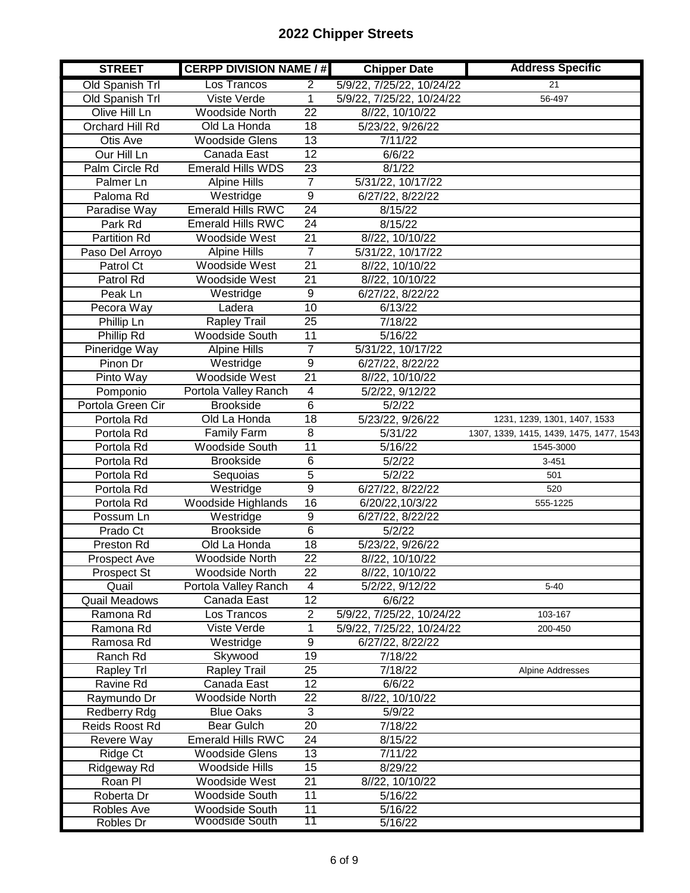| <b>STREET</b>         | <b>CERPP DIVISION NAME / #</b> |                         | <b>Chipper Date</b>       | <b>Address Specific</b>                  |
|-----------------------|--------------------------------|-------------------------|---------------------------|------------------------------------------|
| Old Spanish Trl       | Los Trancos                    | $\overline{2}$          | 5/9/22, 7/25/22, 10/24/22 | $\overline{21}$                          |
| Old Spanish Trl       | Viste Verde                    | 1                       | 5/9/22, 7/25/22, 10/24/22 | 56-497                                   |
| Olive Hill Ln         | <b>Woodside North</b>          | $\overline{22}$         | 8//22, 10/10/22           |                                          |
| Orchard Hill Rd       | Old La Honda                   | 18                      | 5/23/22, 9/26/22          |                                          |
| Otis Ave              | <b>Woodside Glens</b>          | $\overline{13}$         | 7/11/22                   |                                          |
| Our Hill Ln           | Canada East                    | $\overline{12}$         | 6/6/22                    |                                          |
| Palm Circle Rd        | <b>Emerald Hills WDS</b>       | 23                      | 8/1/22                    |                                          |
| Palmer Ln             | <b>Alpine Hills</b>            | $\overline{7}$          | 5/31/22, 10/17/22         |                                          |
| Paloma Rd             | Westridge                      | $\overline{9}$          | 6/27/22, 8/22/22          |                                          |
| Paradise Way          | <b>Emerald Hills RWC</b>       | $\overline{24}$         | 8/15/22                   |                                          |
| Park Rd               | <b>Emerald Hills RWC</b>       | $\overline{24}$         | 8/15/22                   |                                          |
| <b>Partition Rd</b>   | Woodside West                  | 21                      | 8//22, 10/10/22           |                                          |
| Paso Del Arroyo       | <b>Alpine Hills</b>            | $\overline{7}$          | 5/31/22, 10/17/22         |                                          |
| Patrol Ct             | Woodside West                  | $\overline{21}$         | 8//22, 10/10/22           |                                          |
| Patrol Rd             | Woodside West                  | $\overline{21}$         | 8//22, 10/10/22           |                                          |
| Peak Ln               | Westridge                      | 9                       | 6/27/22, 8/22/22          |                                          |
| Pecora Way            | Ladera                         | 10                      | 6/13/22                   |                                          |
| <b>Phillip Ln</b>     | Rapley Trail                   | $\overline{25}$         | 7/18/22                   |                                          |
| Phillip Rd            | <b>Woodside South</b>          | $\overline{11}$         | 5/16/22                   |                                          |
| Pineridge Way         | <b>Alpine Hills</b>            | $\overline{7}$          | 5/31/22, 10/17/22         |                                          |
| Pinon Dr              | Westridge                      | $\overline{9}$          | 6/27/22, 8/22/22          |                                          |
| Pinto Way             | Woodside West                  | 21                      | 8//22, 10/10/22           |                                          |
| Pomponio              | Portola Valley Ranch           | $\overline{\mathbf{4}}$ | 5/2/22, 9/12/22           |                                          |
| Portola Green Cir     | <b>Brookside</b>               | $\overline{6}$          | 5/2/22                    |                                          |
| Portola Rd            | Old La Honda                   | 18                      | 5/23/22, 9/26/22          | 1231, 1239, 1301, 1407, 1533             |
| Portola Rd            | <b>Family Farm</b>             | $\overline{8}$          | 5/31/22                   | 1307, 1339, 1415, 1439, 1475, 1477, 1543 |
| Portola Rd            | <b>Woodside South</b>          | $\overline{11}$         | 5/16/22                   | 1545-3000                                |
| Portola Rd            | <b>Brookside</b>               | 6                       | 5/2/22                    | $3 - 451$                                |
| Portola Rd            | Sequoias                       | $\overline{5}$          | 5/2/22                    | 501                                      |
| Portola Rd            | Westridge                      | $\overline{9}$          | 6/27/22, 8/22/22          | 520                                      |
| Portola Rd            | Woodside Highlands             | $\overline{16}$         | 6/20/22,10/3/22           | 555-1225                                 |
| Possum Ln             | Westridge                      | 9                       | 6/27/22, 8/22/22          |                                          |
| Prado Ct              | <b>Brookside</b>               | $\overline{6}$          | 5/2/22                    |                                          |
| Preston Rd            | Old La Honda                   | $\overline{18}$         | 5/23/22, 9/26/22          |                                          |
| <b>Prospect Ave</b>   | <b>Woodside North</b>          | $\overline{22}$         | 8//22, 10/10/22           |                                          |
| Prospect St           | <b>Woodside North</b>          | 22                      | 8//22, 10/10/22           |                                          |
| Quail                 | Portola Valley Ranch           | 4                       | 5/2/22, 9/12/22           | $5 - 40$                                 |
| Quail Meadows         | Canada East                    | $\overline{12}$         | 6/6/22                    |                                          |
| Ramona Rd             | Los Trancos                    | $\overline{\mathbf{c}}$ | 5/9/22, 7/25/22, 10/24/22 | 103-167                                  |
| Ramona Rd             | Viste Verde                    | 1                       | 5/9/22, 7/25/22, 10/24/22 | 200-450                                  |
| Ramosa Rd             | Westridge                      | 9                       | 6/27/22, 8/22/22          |                                          |
| Ranch Rd              | Skywood                        | $\overline{19}$         | 7/18/22                   |                                          |
| Rapley Trl            | Rapley Trail                   | 25                      | 7/18/22                   | Alpine Addresses                         |
| Ravine Rd             | Canada East                    | 12                      | 6/6/22                    |                                          |
| Raymundo Dr           | Woodside North                 | 22                      | 8//22, 10/10/22           |                                          |
| Redberry Rdg          | <b>Blue Oaks</b>               | $\overline{3}$          | 5/9/22                    |                                          |
| <b>Reids Roost Rd</b> | Bear Gulch                     | $\overline{20}$         | 7/18/22                   |                                          |
| Revere Way            | <b>Emerald Hills RWC</b>       | 24                      | 8/15/22                   |                                          |
| Ridge Ct              | <b>Woodside Glens</b>          | 13                      | 7/11/22                   |                                          |
| Ridgeway Rd           | Woodside Hills                 | 15                      | 8/29/22                   |                                          |
| Roan Pl               | Woodside West                  | 21                      | 8//22, 10/10/22           |                                          |
| Roberta Dr            | Woodside South                 | 11                      | 5/16/22                   |                                          |
| Robles Ave            | <b>Woodside South</b>          | 11                      | 5/16/22                   |                                          |
| Robles Dr             | Woodside South                 | 11                      | 5/16/22                   |                                          |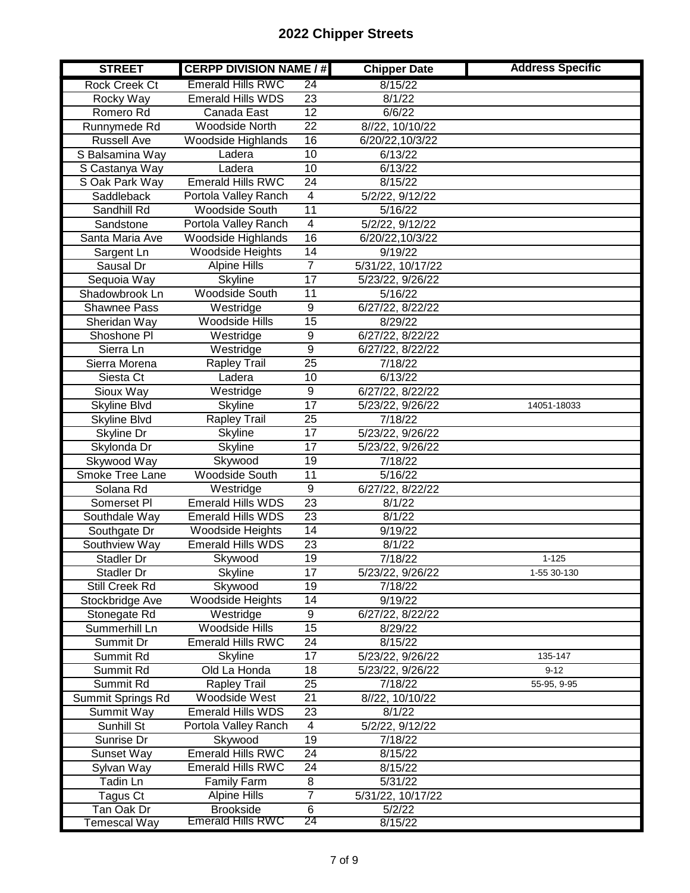| <b>STREET</b>        | <b>CERPP DIVISION NAME / #</b> |                 | <b>Chipper Date</b> | <b>Address Specific</b> |
|----------------------|--------------------------------|-----------------|---------------------|-------------------------|
| <b>Rock Creek Ct</b> | <b>Emerald Hills RWC</b>       | 24              | 8/15/22             |                         |
| Rocky Way            | <b>Emerald Hills WDS</b>       | $\overline{23}$ | 8/1/22              |                         |
| Romero Rd            | Canada East                    | 12              | 6/6/22              |                         |
| Runnymede Rd         | <b>Woodside North</b>          | $\overline{22}$ | 8//22, 10/10/22     |                         |
| <b>Russell Ave</b>   | Woodside Highlands             | 16              | 6/20/22,10/3/22     |                         |
| S Balsamina Way      | Ladera                         | 10              | 6/13/22             |                         |
| S Castanya Way       | Ladera                         | 10              | 6/13/22             |                         |
| S Oak Park Way       | <b>Emerald Hills RWC</b>       | $\overline{24}$ | 8/15/22             |                         |
| Saddleback           | Portola Valley Ranch           | $\overline{4}$  | 5/2/22, 9/12/22     |                         |
| Sandhill Rd          | <b>Woodside South</b>          | $\overline{11}$ | 5/16/22             |                         |
| Sandstone            | Portola Valley Ranch           | $\overline{4}$  | 5/2/22, 9/12/22     |                         |
| Santa Maria Ave      | Woodside Highlands             | 16              | 6/20/22,10/3/22     |                         |
| Sargent Ln           | <b>Woodside Heights</b>        | $\overline{14}$ | 9/19/22             |                         |
| Sausal Dr            | Alpine Hills                   | 7               | 5/31/22, 10/17/22   |                         |
| Sequoia Way          | <b>Skyline</b>                 | 17              | 5/23/22, 9/26/22    |                         |
| Shadowbrook Ln       | <b>Woodside South</b>          | $\overline{11}$ | 5/16/22             |                         |
| <b>Shawnee Pass</b>  | Westridge                      | $\overline{9}$  | 6/27/22, 8/22/22    |                         |
| Sheridan Way         | <b>Woodside Hills</b>          | $\overline{15}$ | 8/29/22             |                         |
| Shoshone Pl          | Westridge                      | 9               | 6/27/22, 8/22/22    |                         |
| Sierra Ln            | Westridge                      | $\overline{9}$  | 6/27/22, 8/22/22    |                         |
| Sierra Morena        | Rapley Trail                   | $\overline{25}$ | 7/18/22             |                         |
| Siesta Ct            | Ladera                         | 10              | 6/13/22             |                         |
| Sioux Way            | Westridge                      | 9               | 6/27/22, 8/22/22    |                         |
| Skyline Blvd         | <b>Skyline</b>                 | 17              | 5/23/22, 9/26/22    | 14051-18033             |
| Skyline Blvd         | <b>Rapley Trail</b>            | $\overline{25}$ | 7/18/22             |                         |
| Skyline Dr           | Skyline                        | $\overline{17}$ | 5/23/22, 9/26/22    |                         |
| Skylonda Dr          | <b>Skyline</b>                 | $\overline{17}$ | 5/23/22, 9/26/22    |                         |
| Skywood Way          | Skywood                        | $\overline{19}$ | 7/18/22             |                         |
| Smoke Tree Lane      | <b>Woodside South</b>          | $\overline{11}$ | 5/16/22             |                         |
| Solana Rd            | Westridge                      | $\overline{9}$  | 6/27/22, 8/22/22    |                         |
| Somerset Pl          | <b>Emerald Hills WDS</b>       | $\overline{23}$ | 8/1/22              |                         |
| Southdale Way        | <b>Emerald Hills WDS</b>       | 23              | 8/1/22              |                         |
| Southgate Dr         | <b>Woodside Heights</b>        | $\overline{14}$ | 9/19/22             |                         |
| Southview Way        | <b>Emerald Hills WDS</b>       | 23              | 8/1/22              |                         |
| Stadler Dr           | Skywood                        | $\overline{19}$ | 7/18/22             | $1 - 125$               |
| Stadler Dr           | <b>Skyline</b>                 | 17              | 5/23/22, 9/26/22    | 1-55 30-130             |
| Still Creek Rd       | Skywood                        | $\overline{19}$ | 7/18/22             |                         |
| Stockbridge Ave      | <b>Woodside Heights</b>        | 14              | 9/19/22             |                         |
| Stonegate Rd         | Westridge                      | 9               | 6/27/22, 8/22/22    |                         |
| Summerhill Ln        | <b>Woodside Hills</b>          | $\overline{15}$ | 8/29/22             |                         |
| Summit Dr            | <b>Emerald Hills RWC</b>       | 24              | 8/15/22             |                         |
| Summit Rd            | <b>Skyline</b>                 | 17              | 5/23/22, 9/26/22    | 135-147                 |
| Summit Rd            | Old La Honda                   | 18              | 5/23/22, 9/26/22    | $9 - 12$                |
| Summit Rd            | Rapley Trail                   | $\overline{25}$ | 7/18/22             | 55-95, 9-95             |
| Summit Springs Rd    | Woodside West                  | 21              | 8//22, 10/10/22     |                         |
| Summit Way           | <b>Emerald Hills WDS</b>       | 23              | 8/1/22              |                         |
| Sunhill St           | Portola Valley Ranch           | 4               | 5/2/22, 9/12/22     |                         |
| Sunrise Dr           | Skywood                        | 19              | 7/18/22             |                         |
| Sunset Way           | <b>Emerald Hills RWC</b>       | 24              | 8/15/22             |                         |
| Sylvan Way           | <b>Emerald Hills RWC</b>       | 24              | 8/15/22             |                         |
| Tadin Ln             | <b>Family Farm</b>             | 8               | 5/31/22             |                         |
| Tagus Ct             | <b>Alpine Hills</b>            | $\overline{7}$  | 5/31/22, 10/17/22   |                         |
| Tan Oak Dr           | <b>Brookside</b>               | 6               | 5/2/22              |                         |
| Temescal Way         | <b>Emerald Hills RWC</b>       | 24              | 8/15/22             |                         |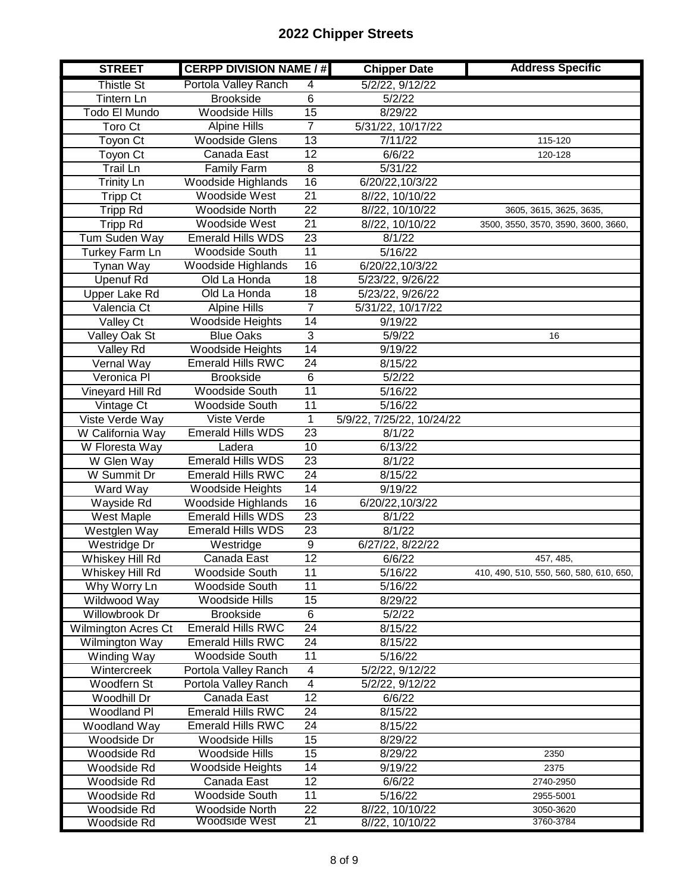| <b>STREET</b>       | <b>CERPP DIVISION NAME / #</b> |                 | <b>Chipper Date</b>       | <b>Address Specific</b>                 |
|---------------------|--------------------------------|-----------------|---------------------------|-----------------------------------------|
| <b>Thistle St</b>   | Portola Valley Ranch           | 4               | 5/2/22, 9/12/22           |                                         |
| <b>Tintern Ln</b>   | <b>Brookside</b>               | 6               | 5/2/22                    |                                         |
| Todo El Mundo       | <b>Woodside Hills</b>          | 15              | 8/29/22                   |                                         |
| Toro Ct             | <b>Alpine Hills</b>            | $\overline{7}$  | 5/31/22, 10/17/22         |                                         |
| Toyon Ct            | <b>Woodside Glens</b>          | 13              | 7/11/22                   | 115-120                                 |
| Toyon Ct            | Canada East                    | 12              | 6/6/22                    | 120-128                                 |
| Trail Ln            | <b>Family Farm</b>             | 8               | 5/31/22                   |                                         |
| <b>Trinity Ln</b>   | Woodside Highlands             | $\overline{16}$ | 6/20/22,10/3/22           |                                         |
| <b>Tripp Ct</b>     | <b>Woodside West</b>           | $\overline{21}$ | 8//22, 10/10/22           |                                         |
| <b>Tripp Rd</b>     | <b>Woodside North</b>          | 22              | 8//22, 10/10/22           | 3605, 3615, 3625, 3635,                 |
| <b>Tripp Rd</b>     | Woodside West                  | $\overline{21}$ | 8//22, 10/10/22           | 3500, 3550, 3570, 3590, 3600, 3660,     |
| Tum Suden Way       | <b>Emerald Hills WDS</b>       | $\overline{23}$ | 8/1/22                    |                                         |
| Turkey Farm Ln      | <b>Woodside South</b>          | $\overline{11}$ | 5/16/22                   |                                         |
| Tynan Way           | Woodside Highlands             | 16              | 6/20/22,10/3/22           |                                         |
| <b>Upenuf Rd</b>    | Old La Honda                   | 18              | 5/23/22, 9/26/22          |                                         |
| Upper Lake Rd       | Old La Honda                   | $\overline{18}$ | 5/23/22, 9/26/22          |                                         |
| Valencia Ct         | <b>Alpine Hills</b>            | $\overline{7}$  | 5/31/22, 10/17/22         |                                         |
| Valley Ct           | <b>Woodside Heights</b>        | 14              | 9/19/22                   |                                         |
| Valley Oak St       | <b>Blue Oaks</b>               | $\overline{3}$  | 5/9/22                    | 16                                      |
| <b>Valley Rd</b>    | Woodside Heights               | 14              | 9/19/22                   |                                         |
| Vernal Way          | <b>Emerald Hills RWC</b>       | 24              | 8/15/22                   |                                         |
| Veronica Pl         | <b>Brookside</b>               | $\overline{6}$  | 5/2/22                    |                                         |
| Vineyard Hill Rd    | Woodside South                 | 11              | 5/16/22                   |                                         |
| Vintage Ct          | Woodside South                 | $\overline{11}$ | 5/16/22                   |                                         |
| Viste Verde Way     | Viste Verde                    | $\mathbf{1}$    | 5/9/22, 7/25/22, 10/24/22 |                                         |
| W California Way    | <b>Emerald Hills WDS</b>       | $\overline{23}$ | 8/1/22                    |                                         |
| W Floresta Way      | Ladera                         | 10              | 6/13/22                   |                                         |
| W Glen Way          | <b>Emerald Hills WDS</b>       | $\overline{23}$ | 8/1/22                    |                                         |
| W Summit Dr         | <b>Emerald Hills RWC</b>       | $\overline{24}$ | 8/15/22                   |                                         |
| Ward Way            | <b>Woodside Heights</b>        | $\overline{14}$ | 9/19/22                   |                                         |
| Wayside Rd          | <b>Woodside Highlands</b>      | 16              | 6/20/22,10/3/22           |                                         |
| West Maple          | <b>Emerald Hills WDS</b>       | $\overline{23}$ | 8/1/22                    |                                         |
| Westglen Way        | <b>Emerald Hills WDS</b>       | $\overline{23}$ | 8/1/22                    |                                         |
| Westridge Dr        | Westridge                      | $\overline{9}$  | 6/27/22, 8/22/22          |                                         |
| Whiskey Hill Rd     | Canada East                    | 12              | 6/6/22                    | 457, 485,                               |
| Whiskey Hill Rd     | Woodside South                 | 11              | 5/16/22                   | 410, 490, 510, 550, 560, 580, 610, 650, |
| Why Worry Ln        | <b>Woodside South</b>          | 11              | 5/16/22                   |                                         |
| Wildwood Way        | Woodside Hills                 | 15              | 8/29/22                   |                                         |
| Willowbrook Dr      | <b>Brookside</b>               | 6               | 5/2/22                    |                                         |
| Wilmington Acres Ct | <b>Emerald Hills RWC</b>       | 24              | 8/15/22                   |                                         |
| Wilmington Way      | <b>Emerald Hills RWC</b>       | 24              | 8/15/22                   |                                         |
| Winding Way         | Woodside South                 | 11              | 5/16/22                   |                                         |
| Wintercreek         | Portola Valley Ranch           | 4               | 5/2/22, 9/12/22           |                                         |
| Woodfern St         | Portola Valley Ranch           | $\overline{4}$  | 5/2/22, 9/12/22           |                                         |
| Woodhill Dr         | Canada East                    | $\overline{12}$ | 6/6/22                    |                                         |
| Woodland PI         | <b>Emerald Hills RWC</b>       | 24              | 8/15/22                   |                                         |
| Woodland Way        | <b>Emerald Hills RWC</b>       | 24              | 8/15/22                   |                                         |
| Woodside Dr         | Woodside Hills                 | 15              | 8/29/22                   |                                         |
| Woodside Rd         | Woodside Hills                 | 15              | 8/29/22                   | 2350                                    |
| Woodside Rd         | Woodside Heights               | 14              | 9/19/22                   | 2375                                    |
| Woodside Rd         | Canada East                    | 12              | 6/6/22                    | 2740-2950                               |
| Woodside Rd         | Woodside South                 | 11              | 5/16/22                   | 2955-5001                               |
| Woodside Rd         | Woodside North                 | 22              | 8//22, 10/10/22           | 3050-3620                               |
| <b>Woodside Rd</b>  | Woodside West                  | 21              | 8//22, 10/10/22           | 3760-3784                               |